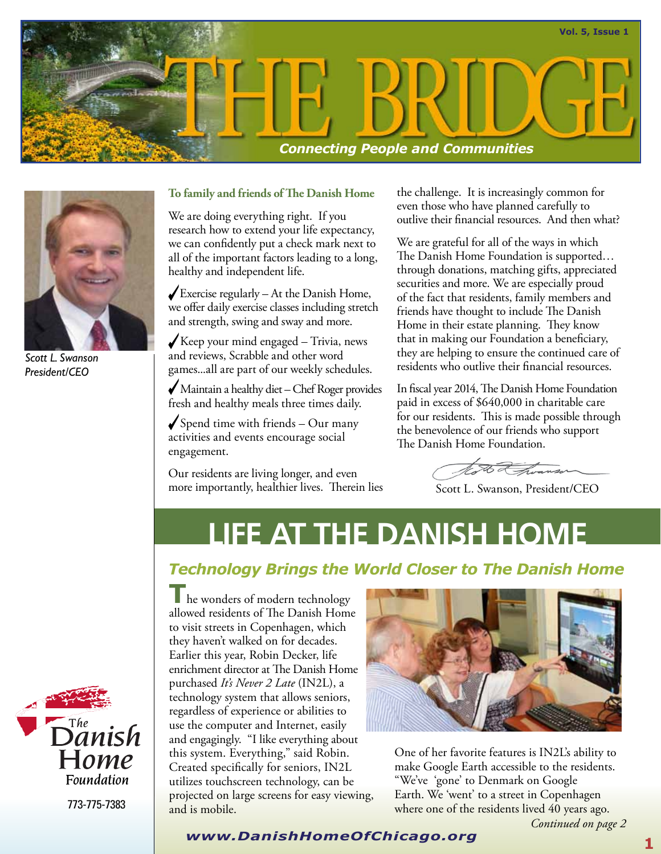



*Scott L. Swanson President/CEO*

#### **To family and friends of The Danish Home**

We are doing everything right. If you research how to extend your life expectancy, we can confidently put a check mark next to all of the important factors leading to a long, healthy and independent life.

 $\sqrt{\frac{1}{2}}$  Exercise regularly – At the Danish Home, we offer daily exercise classes including stretch and strength, swing and sway and more.

Keep your mind engaged  $-$  Trivia, news and reviews, Scrabble and other word games...all are part of our weekly schedules.

 Maintain a healthy diet – Chef Roger provides fresh and healthy meals three times daily.

 $\sqrt{\frac{Spend}}$  time with friends – Our many activities and events encourage social engagement.

Our residents are living longer, and even more importantly, healthier lives. Therein lies the challenge. It is increasingly common for even those who have planned carefully to outlive their financial resources. And then what?

We are grateful for all of the ways in which The Danish Home Foundation is supported… through donations, matching gifts, appreciated securities and more. We are especially proud of the fact that residents, family members and friends have thought to include The Danish Home in their estate planning. They know that in making our Foundation a beneficiary, they are helping to ensure the continued care of residents who outlive their financial resources.

In fiscal year 2014, The Danish Home Foundation paid in excess of \$640,000 in charitable care for our residents. This is made possible through the benevolence of our friends who support The Danish Home Foundation.

Noto & hvanson

Scott L. Swanson, President/CEO

## **LIFE AT THE DANISH HOME**

#### *Technology Brings the World Closer to The Danish Home*

he wonders of modern technology allowed residents of The Danish Home to visit streets in Copenhagen, which they haven't walked on for decades. Earlier this year, Robin Decker, life enrichment director at The Danish Home purchased *It's Never 2 Late* (IN2L), a technology system that allows seniors, regardless of experience or abilities to use the computer and Internet, easily and engagingly. "I like everything about this system. Everything," said Robin. Created specifically for seniors, IN2L utilizes touchscreen technology, can be projected on large screens for easy viewing, and is mobile.



One of her favorite features is IN2L's ability to make Google Earth accessible to the residents. "We've 'gone' to Denmark on Google Earth. We 'went' to a street in Copenhagen where one of the residents lived 40 years ago.



773-775-7383

#### **<sup>1</sup>** *www.DanishHomeOfChicago.org*

*Continued on page 2*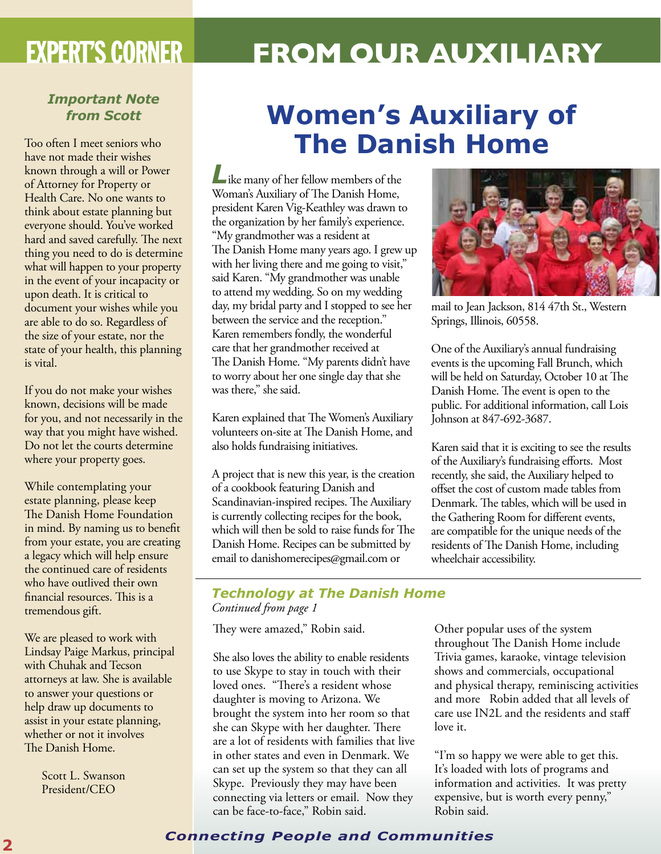# EXPERT'S CORNER **FROM OUR AUXILIARY**

#### *Important Note from Scott*

Too often I meet seniors who have not made their wishes known through a will or Power of Attorney for Property or Health Care. No one wants to think about estate planning but everyone should. You've worked hard and saved carefully. The next thing you need to do is determine what will happen to your property in the event of your incapacity or upon death. It is critical to document your wishes while you are able to do so. Regardless of the size of your estate, nor the state of your health, this planning is vital.

If you do not make your wishes known, decisions will be made for you, and not necessarily in the way that you might have wished. Do not let the courts determine where your property goes.

While contemplating your estate planning, please keep The Danish Home Foundation in mind. By naming us to benefit from your estate, you are creating a legacy which will help ensure the continued care of residents who have outlived their own financial resources. This is a tremendous gift.

We are pleased to work with Lindsay Paige Markus, principal with Chuhak and Tecson attorneys at law. She is available to answer your questions or help draw up documents to assist in your estate planning, whether or not it involves The Danish Home.

> Scott L. Swanson President/CEO

## **Women's Auxiliary of The Danish Home**

*L*ike many of her fellow members of the Woman's Auxiliary of The Danish Home, president Karen Vig-Keathley was drawn to the organization by her family's experience. "My grandmother was a resident at The Danish Home many years ago. I grew up with her living there and me going to visit," said Karen. "My grandmother was unable to attend my wedding. So on my wedding day, my bridal party and I stopped to see her between the service and the reception." Karen remembers fondly, the wonderful care that her grandmother received at The Danish Home. "My parents didn't have to worry about her one single day that she was there," she said.

Karen explained that The Women's Auxiliary volunteers on-site at The Danish Home, and also holds fundraising initiatives.

A project that is new this year, is the creation of a cookbook featuring Danish and Scandinavian-inspired recipes. The Auxiliary is currently collecting recipes for the book, which will then be sold to raise funds for The Danish Home. Recipes can be submitted by email to danishomerecipes@gmail.com or

mail to Jean Jackson, 814 47th St., Western Springs, Illinois, 60558.

One of the Auxiliary's annual fundraising events is the upcoming Fall Brunch, which will be held on Saturday, October 10 at The Danish Home. The event is open to the public. For additional information, call Lois Johnson at 847-692-3687.

Karen said that it is exciting to see the results of the Auxiliary's fundraising efforts. Most recently, she said, the Auxiliary helped to offset the cost of custom made tables from Denmark. The tables, which will be used in the Gathering Room for different events, are compatible for the unique needs of the residents of The Danish Home, including wheelchair accessibility.

#### *Technology at The Danish Home Continued from page 1*

They were amazed," Robin said.

She also loves the ability to enable residents to use Skype to stay in touch with their loved ones. "There's a resident whose daughter is moving to Arizona. We brought the system into her room so that she can Skype with her daughter. There are a lot of residents with families that live in other states and even in Denmark. We can set up the system so that they can all Skype. Previously they may have been connecting via letters or email. Now they can be face-to-face," Robin said.

Other popular uses of the system throughout The Danish Home include Trivia games, karaoke, vintage television shows and commercials, occupational and physical therapy, reminiscing activities and more Robin added that all levels of care use IN2L and the residents and staff love it.

"I'm so happy we were able to get this. It's loaded with lots of programs and information and activities. It was pretty expensive, but is worth every penny," Robin said.

## **<sup>2</sup>** *Connecting People and Communities*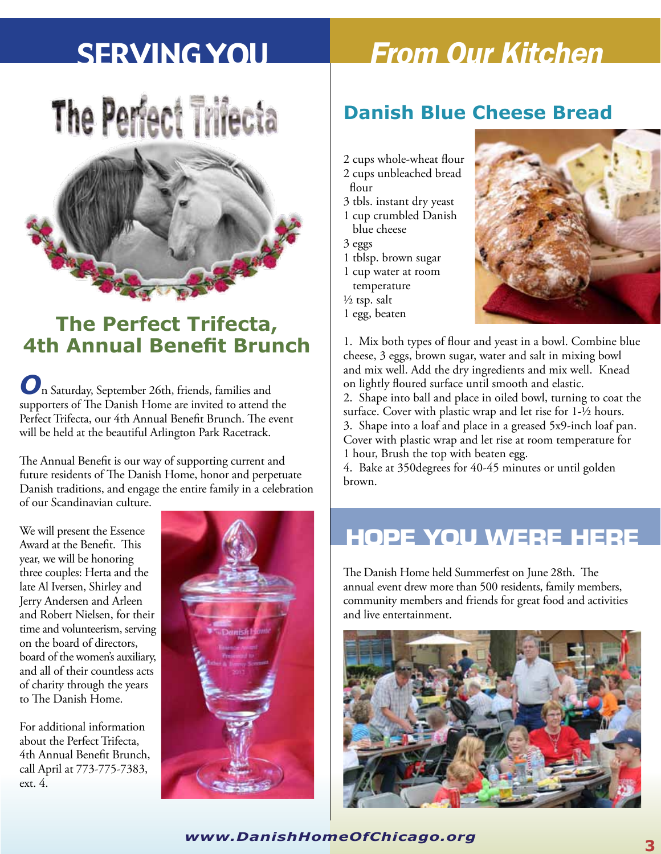# The Perfect Trifecta



## **The Perfect Trifecta, 4th Annual Benefit Brunch**

*O*n Saturday, September 26th, friends, families and supporters of The Danish Home are invited to attend the Perfect Trifecta, our 4th Annual Benefit Brunch. The event will be held at the beautiful Arlington Park Racetrack.

The Annual Benefit is our way of supporting current and future residents of The Danish Home, honor and perpetuate Danish traditions, and engage the entire family in a celebration of our Scandinavian culture.

We will present the Essence Award at the Benefit. This year, we will be honoring three couples: Herta and the late Al Iversen, Shirley and Jerry Andersen and Arleen and Robert Nielsen, for their time and volunteerism, serving on the board of directors, board of the women's auxiliary, and all of their countless acts of charity through the years to The Danish Home.

For additional information about the Perfect Trifecta, 4th Annual Benefit Brunch, call April at 773-775-7383, ext. 4.



# Serving You *From Our Kitchen*

#### **Danish Blue Cheese Bread**

- 2 cups whole-wheat flour 2 cups unbleached bread
- flour
- 3 tbls. instant dry yeast
- 1 cup crumbled Danish blue cheese
- 3 eggs
- 1 tblsp. brown sugar
- 1 cup water at room
- temperature
- $\frac{1}{2}$  tsp. salt
- 1 egg, beaten



1. Mix both types of flour and yeast in a bowl. Combine blue cheese, 3 eggs, brown sugar, water and salt in mixing bowl and mix well. Add the dry ingredients and mix well. Knead on lightly floured surface until smooth and elastic.

2. Shape into ball and place in oiled bowl, turning to coat the surface. Cover with plastic wrap and let rise for 1-½ hours. 3. Shape into a loaf and place in a greased 5x9-inch loaf pan. Cover with plastic wrap and let rise at room temperature for 1 hour, Brush the top with beaten egg.

4. Bake at 350degrees for 40-45 minutes or until golden brown.

## **HOPE YOU WERE HERE**

The Danish Home held Summerfest on June 28th. The annual event drew more than 500 residents, family members, community members and friends for great food and activities and live entertainment.



**<sup>3</sup>** *www.DanishHomeOfChicago.org*